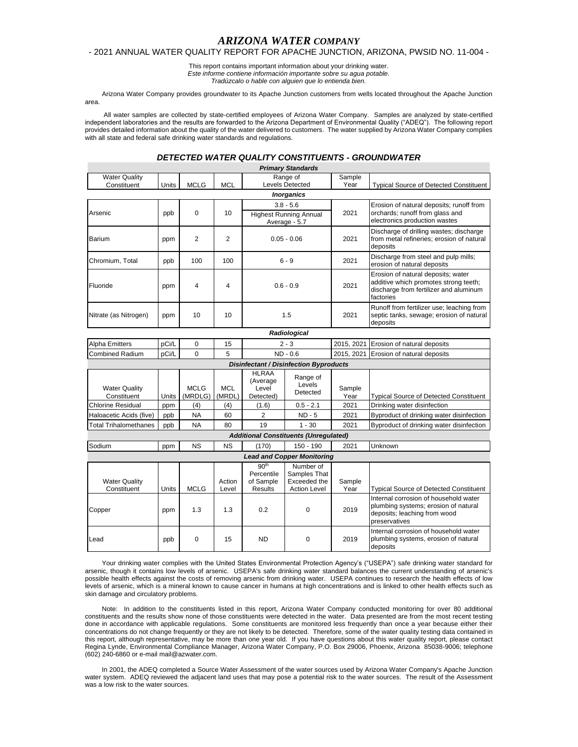## *ARIZONA WATER COMPANY*

### - 2021 ANNUAL WATER QUALITY REPORT FOR APACHE JUNCTION, ARIZONA, PWSID NO. 11-004 -

This report contains important information about your drinking water. *Este informe contiene información importante sobre su agua potable. Tradúzcalo o hable con alguien que lo entienda bien.*

Arizona Water Company provides groundwater to its Apache Junction customers from wells located throughout the Apache Junction area.

All water samples are collected by state-certified employees of Arizona Water Company. Samples are analyzed by state-certified independent laboratories and the results are forwarded to the Arizona Department of Environmental Quality ("ADEQ"). The following report provides detailed information about the quality of the water delivered to customers. The water supplied by Arizona Water Company complies with all state and federal safe drinking water standards and regulations.

# *DETECTED WATER QUALITY CONSTITUENTS - GROUNDWATER*

| <b>Primary Standards</b>                      |       |                        |                      |                                                               |                                                                  |                |                                                                                                                                    |
|-----------------------------------------------|-------|------------------------|----------------------|---------------------------------------------------------------|------------------------------------------------------------------|----------------|------------------------------------------------------------------------------------------------------------------------------------|
| <b>Water Quality</b>                          |       |                        |                      |                                                               | Range of                                                         | Sample         |                                                                                                                                    |
| Constituent                                   | Units | <b>MCLG</b>            | <b>MCL</b>           | <b>Levels Detected</b>                                        |                                                                  | Year           | <b>Typical Source of Detected Constituent</b>                                                                                      |
| <b>Inorganics</b>                             |       |                        |                      |                                                               |                                                                  |                |                                                                                                                                    |
|                                               | ppb   | 0                      | 10                   | $3.8 - 5.6$                                                   |                                                                  | 2021           | Erosion of natural deposits; runoff from                                                                                           |
| Arsenic                                       |       |                        |                      | <b>Highest Running Annual</b>                                 |                                                                  |                | orchards; runoff from glass and<br>electronics production wastes                                                                   |
|                                               |       |                        |                      | Average - 5.7                                                 |                                                                  |                |                                                                                                                                    |
| Barium                                        | ppm   | $\overline{2}$         | $\overline{2}$       | $0.05 - 0.06$                                                 |                                                                  | 2021           | Discharge of drilling wastes; discharge<br>from metal refineries; erosion of natural<br>deposits                                   |
| Chromium, Total                               | ppb   | 100                    | 100                  | $6 - 9$                                                       |                                                                  | 2021           | Discharge from steel and pulp mills;<br>erosion of natural deposits                                                                |
| Fluoride                                      | ppm   | 4                      | 4                    | $0.6 - 0.9$                                                   |                                                                  | 2021           | Erosion of natural deposits; water<br>additive which promotes strong teeth;<br>discharge from fertilizer and aluminum<br>factories |
| Nitrate (as Nitrogen)                         | ppm   | 10                     | 10                   | 1.5                                                           |                                                                  | 2021           | Runoff from fertilizer use; leaching from<br>septic tanks, sewage; erosion of natural<br>deposits                                  |
| Radiological                                  |       |                        |                      |                                                               |                                                                  |                |                                                                                                                                    |
| <b>Alpha Emitters</b>                         | pCi/L | 0                      | 15                   | $2 - 3$                                                       |                                                                  | 2015, 2021     | Erosion of natural deposits                                                                                                        |
| <b>Combined Radium</b>                        | pCi/L | 0                      | 5                    | ND - 0.6                                                      |                                                                  | 2015, 2021     | Erosion of natural deposits                                                                                                        |
| <b>Disinfectant / Disinfection Byproducts</b> |       |                        |                      |                                                               |                                                                  |                |                                                                                                                                    |
| <b>Water Quality</b><br>Constituent           | Units | <b>MCLG</b><br>(MRDLG) | <b>MCL</b><br>(MRDL) | <b>HLRAA</b><br>(Average<br>Level<br>Detected)                | Range of<br>Levels<br>Detected                                   | Sample<br>Year | <b>Typical Source of Detected Constituent</b>                                                                                      |
| <b>Chlorine Residual</b>                      | ppm   | (4)                    | (4)                  | (1.6)                                                         | $0.5 - 2.1$                                                      | 2021           | Drinking water disinfection                                                                                                        |
| Haloacetic Acids (five)                       | ppb   | NA                     | 60                   | $\overline{2}$                                                | $ND - 5$                                                         | 2021           | Byproduct of drinking water disinfection                                                                                           |
| <b>Total Trihalomethanes</b>                  | ppb   | <b>NA</b>              | 80                   | 19                                                            | $1 - 30$                                                         | 2021           | Byproduct of drinking water disinfection                                                                                           |
| <b>Additional Constituents (Unregulated)</b>  |       |                        |                      |                                                               |                                                                  |                |                                                                                                                                    |
| Sodium                                        | ppm   | <b>NS</b>              | <b>NS</b>            | (170)                                                         | $150 - 190$                                                      | 2021           | Unknown                                                                                                                            |
| <b>Lead and Copper Monitoring</b>             |       |                        |                      |                                                               |                                                                  |                |                                                                                                                                    |
| <b>Water Quality</b><br>Constituent           | Units | <b>MCLG</b>            | Action<br>Level      | 90 <sup>th</sup><br>Percentile<br>of Sample<br><b>Results</b> | Number of<br>Samples That<br>Exceeded the<br><b>Action Level</b> | Sample<br>Year | <b>Typical Source of Detected Constituent</b>                                                                                      |
| Copper                                        | ppm   | 1.3                    | 1.3                  | 0.2                                                           | $\Omega$                                                         | 2019           | Internal corrosion of household water<br>plumbing systems; erosion of natural<br>deposits; leaching from wood<br>preservatives     |
| Lead                                          | ppb   | $\Omega$               | 15                   | <b>ND</b>                                                     | $\Omega$                                                         | 2019           | Internal corrosion of household water<br>plumbing systems, erosion of natural                                                      |

Your drinking water complies with the United States Environmental Protection Agency's ("USEPA") safe drinking water standard for arsenic, though it contains low levels of arsenic. USEPA's safe drinking water standard balances the current understanding of arsenic's possible health effects against the costs of removing arsenic from drinking water. USEPA continues to research the health effects of low levels of arsenic, which is a mineral known to cause cancer in humans at high concentrations and is linked to other health effects such as skin damage and circulatory problems.

deposits

Note: In addition to the constituents listed in this report, Arizona Water Company conducted monitoring for over 80 additional constituents and the results show none of those constituents were detected in the water. Data presented are from the most recent testing done in accordance with applicable regulations. Some constituents are monitored less frequently than once a year because either their concentrations do not change frequently or they are not likely to be detected. Therefore, some of the water quality testing data contained in this report, although representative, may be more than one year old. If you have questions about this water quality report, please contact Regina Lynde, Environmental Compliance Manager, Arizona Water Company, P.O. Box 29006, Phoenix, Arizona 85038-9006; telephone (602) 240-6860 or e-mail mail@azwater.com.

In 2001, the ADEQ completed a Source Water Assessment of the water sources used by Arizona Water Company's Apache Junction water system. ADEQ reviewed the adjacent land uses that may pose a potential risk to the water sources. The result of the Assessment was a low risk to the water sources.